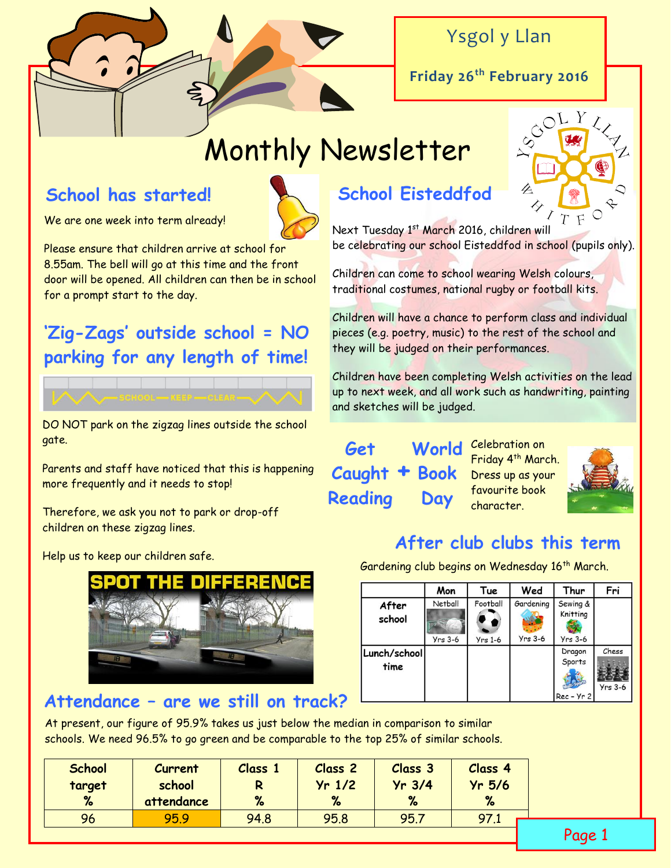

## Ysgol y Llan

**Friday 26th February 2016**

# Monthly Newsletter

### **School has started!**

We are one week into term already!

Please ensure that children arrive at school for 8.55am. The bell will go at this time and the front door will be opened. All children can then be in school for a prompt start to the day.

## **'Zig-Zags' outside school = NO parking for any length of time!**

DO NOT park on the zigzag lines outside the school gate.

Parents and staff have noticed that this is happening more frequently and it needs to stop!

Therefore, we ask you not to park or drop-off children on these zigzag lines.

Help us to keep our children safe.



#### **Attendance – are we still on track?**

## **School Eisteddfod**

Next Tuesday 1<sup>st</sup> March 2016, children will be celebrating our school Eisteddfod in school (pupils only).

Children can come to school wearing Welsh colours, traditional costumes, national rugby or football kits.

Children will have a chance to perform class and individual pieces (e.g. poetry, music) to the rest of the school and they will be judged on their performances.

Children have been completing Welsh activities on the lead up to next week, and all work such as handwriting, painting and sketches will be judged.

**Get Caught + Book Reading Day**

World Celebration on Friday 4<sup>th</sup> March. Dress up as your favourite book character.



#### **After club clubs this term**

Gardening club begins on Wednesday 16<sup>th</sup> March.

|                      | Mon                  | Tue                   | Wed                    | Thur                              | Fri                |
|----------------------|----------------------|-----------------------|------------------------|-----------------------------------|--------------------|
| After<br>school      | Netball<br>$Yrs$ 3-6 | Football<br>$Yrs$ 1-6 | Gardening<br>$Yrs$ 3-6 | Sewing &<br>Knitting<br>$Yrs$ 3-6 |                    |
| Lunch/school<br>time |                      |                       |                        | Dragon<br>Sports<br>$Rec - Yr 2$  | Chess<br>$Yrs$ 3-6 |

At present, our figure of 95.9% takes us just below the median in comparison to similar schools. We need 96.5% to go green and be comparable to the top 25% of similar schools.

| <b>School</b> | <b>Current</b> | Class 1 | Class <sub>2</sub> | Class 3  | Class 4  |
|---------------|----------------|---------|--------------------|----------|----------|
| target        | school         | R       | $Yr$ 1/2           | $Yr$ 3/4 | $Yr$ 5/6 |
| %             | attendance     | %       | %                  | %        | %        |
| 96            | 95.9           | 94.8    | 95.8               | 95.7     | 97.1     |
|               |                |         |                    |          |          |

Page 1